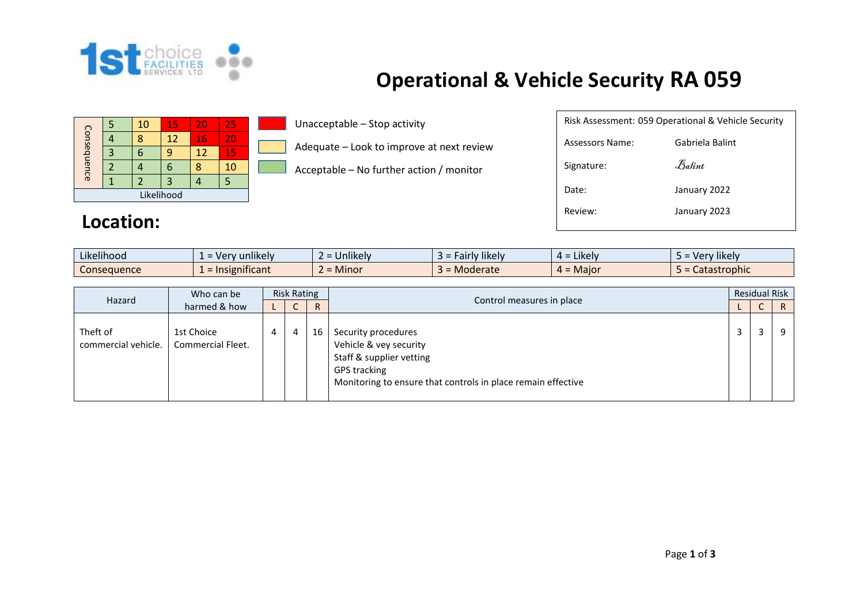

## **Operational & Vehicle Security RA 059**

|             |  | 10 | 15 | 20 | 25 |  |  |  |
|-------------|--|----|----|----|----|--|--|--|
|             |  | 8  | 12 | 16 | 20 |  |  |  |
| Consequence |  |    | q  | 12 | 15 |  |  |  |
|             |  |    | п  |    | 10 |  |  |  |
|             |  |    |    |    |    |  |  |  |
| Likelihood  |  |    |    |    |    |  |  |  |

## **Location:**

Unacceptable – Stop activity

Adequate – Look to improve at next review

Acceptable – No further action / monitor

| Risk Assessment: 059 Operational & Vehicle Security |                 |  |  |  |  |  |  |  |  |  |
|-----------------------------------------------------|-----------------|--|--|--|--|--|--|--|--|--|
| Assessors Name:                                     | Gabriela Balint |  |  |  |  |  |  |  |  |  |
| Signature:                                          | Balint          |  |  |  |  |  |  |  |  |  |
| Date:                                               | January 2022    |  |  |  |  |  |  |  |  |  |
| Review:                                             | January 2023    |  |  |  |  |  |  |  |  |  |
|                                                     |                 |  |  |  |  |  |  |  |  |  |

| Likelihood  | $\cdots$<br>Very unlikely                  | Unlikelv         | $\cdots$<br>Fairly likely | $\cdot$ $\cdot$ $\cdot$<br>` = Likely \<br><u>д</u> = | $\cdots$<br>Very likely |
|-------------|--------------------------------------------|------------------|---------------------------|-------------------------------------------------------|-------------------------|
| Conseauence | $\cdot$ $\cdot$ $\cdot$<br>: Insignificant | $  -$<br>= Minor | Moderate                  | $\sim$ $\sim$<br>$4 =$ Major                          | Catastrophic            |

| Hazard                          | Who can be                             | <b>Risk Rating</b> |   |    |                                                                                                                                                                  | <b>Residual Risk</b> |   |   |  |
|---------------------------------|----------------------------------------|--------------------|---|----|------------------------------------------------------------------------------------------------------------------------------------------------------------------|----------------------|---|---|--|
|                                 | harmed & how                           |                    | ◡ | R. | Control measures in place                                                                                                                                        |                      | ◡ | R |  |
| Theft of<br>commercial vehicle. | 1st Choice<br><b>Commercial Fleet.</b> | 4                  | 4 | 16 | Security procedures<br>Vehicle & vey security<br>Staff & supplier vetting<br><b>GPS tracking</b><br>Monitoring to ensure that controls in place remain effective |                      |   |   |  |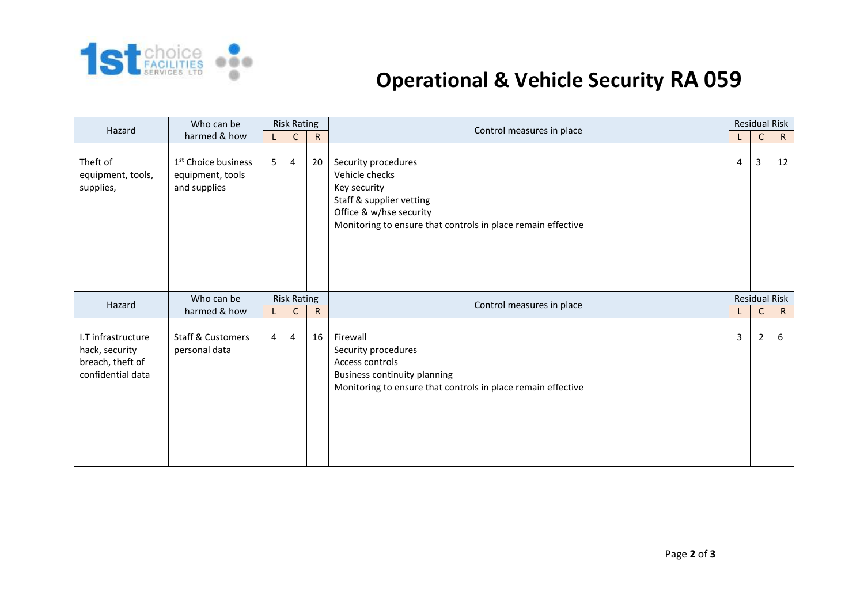

## **Operational & Vehicle Security RA 059**

| Hazard                                                                        | Who can be                                                          | <b>Risk Rating</b>                              |                                |                    |                                                                                                                                                                              | <b>Residual Risk</b> |                  |                   |
|-------------------------------------------------------------------------------|---------------------------------------------------------------------|-------------------------------------------------|--------------------------------|--------------------|------------------------------------------------------------------------------------------------------------------------------------------------------------------------------|----------------------|------------------|-------------------|
| harmed & how                                                                  |                                                                     | $\mathsf{L}$                                    | $\mathsf{C}$                   | $\mathsf{R}$       | Control measures in place                                                                                                                                                    |                      | $\mathsf C$      | $\mathsf{R}$      |
| Theft of<br>equipment, tools,<br>supplies,                                    | 1 <sup>st</sup> Choice business<br>equipment, tools<br>and supplies | 5                                               | $\overline{4}$                 | 20                 | Security procedures<br>Vehicle checks<br>Key security<br>Staff & supplier vetting<br>Office & w/hse security<br>Monitoring to ensure that controls in place remain effective |                      | $\mathbf{3}$     | 12                |
| Hazard                                                                        | Who can be<br>harmed & how                                          | <b>Risk Rating</b><br>Control measures in place |                                |                    | <b>Residual Risk</b>                                                                                                                                                         |                      |                  |                   |
| I.T infrastructure<br>hack, security<br>breach, theft of<br>confidential data | <b>Staff &amp; Customers</b><br>personal data                       | $\mathsf{L}$<br>4                               | $\mathsf{C}$<br>$\overline{4}$ | $\mathsf{R}$<br>16 | Firewall<br>Security procedures<br>Access controls<br><b>Business continuity planning</b><br>Monitoring to ensure that controls in place remain effective                    |                      | $\mathsf C$<br>2 | $\mathsf{R}$<br>6 |